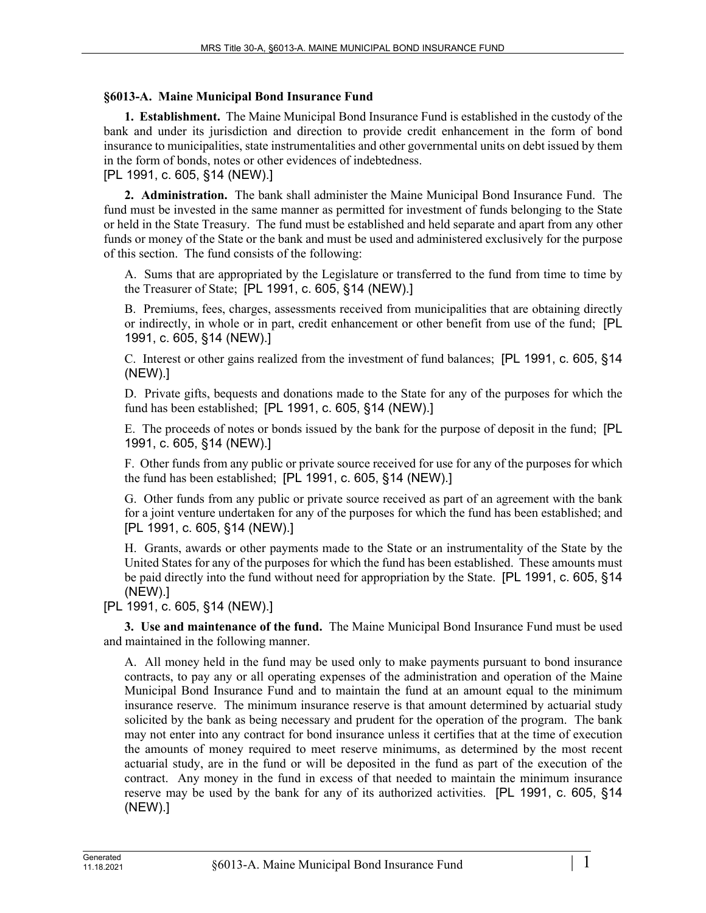## **§6013-A. Maine Municipal Bond Insurance Fund**

**1. Establishment.** The Maine Municipal Bond Insurance Fund is established in the custody of the bank and under its jurisdiction and direction to provide credit enhancement in the form of bond insurance to municipalities, state instrumentalities and other governmental units on debt issued by them in the form of bonds, notes or other evidences of indebtedness.

[PL 1991, c. 605, §14 (NEW).]

**2. Administration.** The bank shall administer the Maine Municipal Bond Insurance Fund. The fund must be invested in the same manner as permitted for investment of funds belonging to the State or held in the State Treasury. The fund must be established and held separate and apart from any other funds or money of the State or the bank and must be used and administered exclusively for the purpose of this section. The fund consists of the following:

A. Sums that are appropriated by the Legislature or transferred to the fund from time to time by the Treasurer of State; [PL 1991, c. 605, §14 (NEW).]

B. Premiums, fees, charges, assessments received from municipalities that are obtaining directly or indirectly, in whole or in part, credit enhancement or other benefit from use of the fund; [PL 1991, c. 605, §14 (NEW).]

C. Interest or other gains realized from the investment of fund balances; [PL 1991, c. 605, §14 (NEW).]

D. Private gifts, bequests and donations made to the State for any of the purposes for which the fund has been established; [PL 1991, c. 605, §14 (NEW).]

E. The proceeds of notes or bonds issued by the bank for the purpose of deposit in the fund; [PL 1991, c. 605, §14 (NEW).]

F. Other funds from any public or private source received for use for any of the purposes for which the fund has been established; [PL 1991, c. 605, §14 (NEW).]

G. Other funds from any public or private source received as part of an agreement with the bank for a joint venture undertaken for any of the purposes for which the fund has been established; and [PL 1991, c. 605, §14 (NEW).]

H. Grants, awards or other payments made to the State or an instrumentality of the State by the United States for any of the purposes for which the fund has been established. These amounts must be paid directly into the fund without need for appropriation by the State. [PL 1991, c. 605, §14 (NEW).]

[PL 1991, c. 605, §14 (NEW).]

**3. Use and maintenance of the fund.** The Maine Municipal Bond Insurance Fund must be used and maintained in the following manner.

A. All money held in the fund may be used only to make payments pursuant to bond insurance contracts, to pay any or all operating expenses of the administration and operation of the Maine Municipal Bond Insurance Fund and to maintain the fund at an amount equal to the minimum insurance reserve. The minimum insurance reserve is that amount determined by actuarial study solicited by the bank as being necessary and prudent for the operation of the program. The bank may not enter into any contract for bond insurance unless it certifies that at the time of execution the amounts of money required to meet reserve minimums, as determined by the most recent actuarial study, are in the fund or will be deposited in the fund as part of the execution of the contract. Any money in the fund in excess of that needed to maintain the minimum insurance reserve may be used by the bank for any of its authorized activities. [PL 1991, c. 605, §14 (NEW).]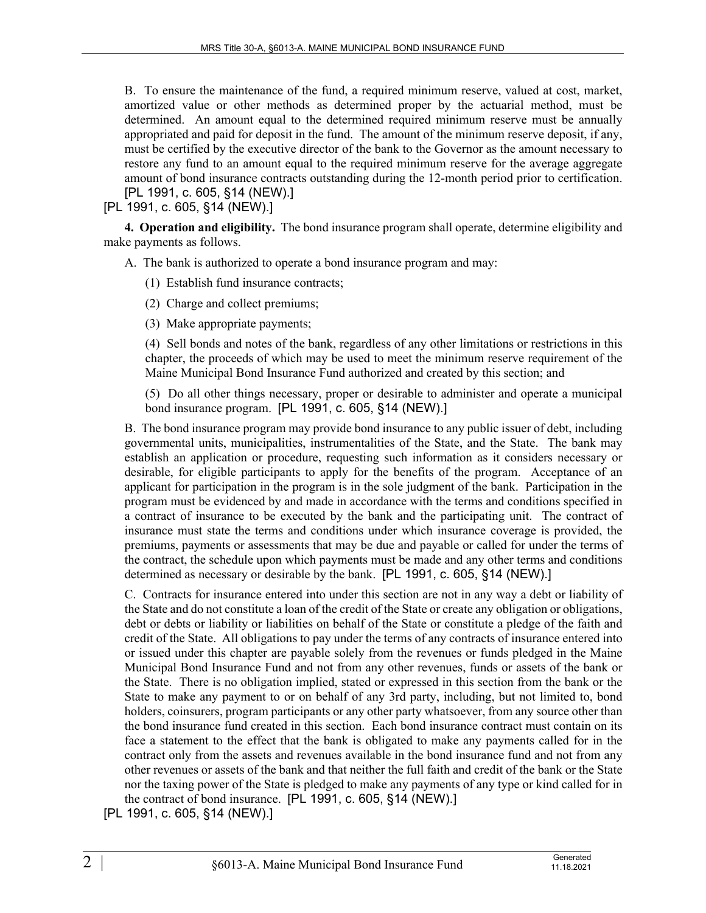B. To ensure the maintenance of the fund, a required minimum reserve, valued at cost, market, amortized value or other methods as determined proper by the actuarial method, must be determined. An amount equal to the determined required minimum reserve must be annually appropriated and paid for deposit in the fund. The amount of the minimum reserve deposit, if any, must be certified by the executive director of the bank to the Governor as the amount necessary to restore any fund to an amount equal to the required minimum reserve for the average aggregate amount of bond insurance contracts outstanding during the 12-month period prior to certification. [PL 1991, c. 605, §14 (NEW).]

[PL 1991, c. 605, §14 (NEW).]

**4. Operation and eligibility.** The bond insurance program shall operate, determine eligibility and make payments as follows.

A. The bank is authorized to operate a bond insurance program and may:

(1) Establish fund insurance contracts;

(2) Charge and collect premiums;

(3) Make appropriate payments;

(4) Sell bonds and notes of the bank, regardless of any other limitations or restrictions in this chapter, the proceeds of which may be used to meet the minimum reserve requirement of the Maine Municipal Bond Insurance Fund authorized and created by this section; and

(5) Do all other things necessary, proper or desirable to administer and operate a municipal bond insurance program. [PL 1991, c. 605, §14 (NEW).]

B. The bond insurance program may provide bond insurance to any public issuer of debt, including governmental units, municipalities, instrumentalities of the State, and the State. The bank may establish an application or procedure, requesting such information as it considers necessary or desirable, for eligible participants to apply for the benefits of the program. Acceptance of an applicant for participation in the program is in the sole judgment of the bank. Participation in the program must be evidenced by and made in accordance with the terms and conditions specified in a contract of insurance to be executed by the bank and the participating unit. The contract of insurance must state the terms and conditions under which insurance coverage is provided, the premiums, payments or assessments that may be due and payable or called for under the terms of the contract, the schedule upon which payments must be made and any other terms and conditions determined as necessary or desirable by the bank. [PL 1991, c. 605, §14 (NEW).]

C. Contracts for insurance entered into under this section are not in any way a debt or liability of the State and do not constitute a loan of the credit of the State or create any obligation or obligations, debt or debts or liability or liabilities on behalf of the State or constitute a pledge of the faith and credit of the State. All obligations to pay under the terms of any contracts of insurance entered into or issued under this chapter are payable solely from the revenues or funds pledged in the Maine Municipal Bond Insurance Fund and not from any other revenues, funds or assets of the bank or the State. There is no obligation implied, stated or expressed in this section from the bank or the State to make any payment to or on behalf of any 3rd party, including, but not limited to, bond holders, coinsurers, program participants or any other party whatsoever, from any source other than the bond insurance fund created in this section. Each bond insurance contract must contain on its face a statement to the effect that the bank is obligated to make any payments called for in the contract only from the assets and revenues available in the bond insurance fund and not from any other revenues or assets of the bank and that neither the full faith and credit of the bank or the State nor the taxing power of the State is pledged to make any payments of any type or kind called for in the contract of bond insurance. [PL 1991, c. 605, §14 (NEW).]

[PL 1991, c. 605, §14 (NEW).]